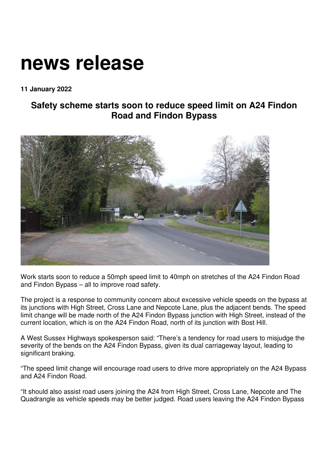## **news release**

**11 January 2022** 

## **Safety scheme starts soon to reduce speed limit on A24 Findon Road and Findon Bypass**



Work starts soon to reduce a 50mph speed limit to 40mph on stretches of the A24 Findon Road and Findon Bypass – all to improve road safety.

The project is a response to community concern about excessive vehicle speeds on the bypass at its junctions with High Street, Cross Lane and Nepcote Lane, plus the adjacent bends. The speed limit change will be made north of the A24 Findon Bypass junction with High Street, instead of the current location, which is on the A24 Findon Road, north of its junction with Bost Hill.

A West Sussex Highways spokesperson said: "There's a tendency for road users to misjudge the severity of the bends on the A24 Findon Bypass, given its dual carriageway layout, leading to significant braking.

"The speed limit change will encourage road users to drive more appropriately on the A24 Bypass and A24 Findon Road.

"It should also assist road users joining the A24 from High Street, Cross Lane, Nepcote and The Quadrangle as vehicle speeds may be better judged. Road users leaving the A24 Findon Bypass